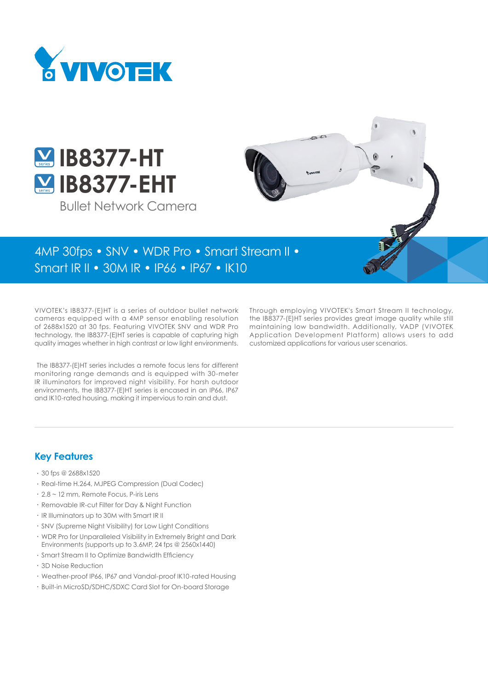



Bullet Network Camera

# 4MP 30fps • SNV • WDR Pro • Smart Stream II •

Smart IR II • 30M IR • IP66 • IP67 • IK10

VIVOTEK's IB8377-(E)HT is a series of outdoor bullet network cameras equipped with a 4MP sensor enabling resolution of 2688x1520 at 30 fps. Featuring VIVOTEK SNV and WDR Pro technology, the IB8377-(E)HT series is capable of capturing high quality images whether in high contrast or low light environments.

 The IB8377-(E)HT series includes a remote focus lens for different monitoring range demands and is equipped with 30-meter IR illuminators for improved night visibility. For harsh outdoor environments, the IB8377-(E)HT series is encased in an IP66, IP67 and IK10-rated housing, making it impervious to rain and dust.

Through employing VIVOTEK's Smart Stream II technology, the IB8377-(E)HT series provides great image quality while still maintaining low bandwidth. Additionally, VADP (VIVOTEK Application Development Platform) allows users to add customized applications for various user scenarios.

### **Key Features**

- • 30 fps @ 2688x1520
- • Real-time H.264, MJPEG Compression (Dual Codec)
- $\cdot$  2.8  $\sim$  12 mm, Remote Focus, P-iris Lens
- • Removable IR-cut Filter for Day & Night Function
- • IR Illuminators up to 30M with Smart IR II
- • SNV (Supreme Night Visibility) for Low Light Conditions
- • WDR Pro for Unparalleled Visibility in Extremely Bright and Dark Environments (supports up to 3.6MP, 24 fps @ 2560x1440)
- • Smart Stream II to Optimize Bandwidth Efficiency
- • 3D Noise Reduction
- Weather-proof IP66, IP67 and Vandal-proof IK10-rated Housing
- • Built-in MicroSD/SDHC/SDXC Card Slot for On-board Storage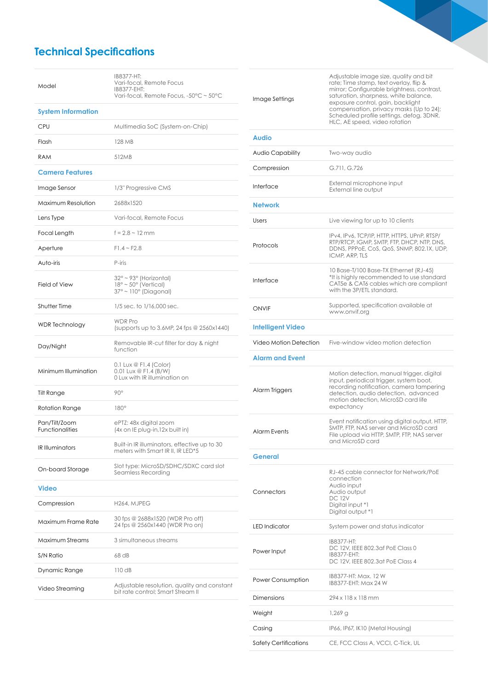# **Technical Specifications**

| Model                                   | IB8377-HT:<br>Vari-focal, Remote Focus<br>IB8377-EHT:<br>Vari-focal, Remote Focus, -50°C ~ 50°C       |  |  |
|-----------------------------------------|-------------------------------------------------------------------------------------------------------|--|--|
| <b>System Information</b>               |                                                                                                       |  |  |
| CPU                                     | Multimedia SoC (System-on-Chip)                                                                       |  |  |
| Flash                                   | 128 MB                                                                                                |  |  |
| <b>RAM</b>                              | 512MB                                                                                                 |  |  |
| <b>Camera Features</b>                  |                                                                                                       |  |  |
| Image Sensor                            | 1/3" Progressive CMS                                                                                  |  |  |
| Maximum Resolution                      | 2688x1520                                                                                             |  |  |
| Lens Type                               | Vari-focal, Remote Focus                                                                              |  |  |
| Focal Length                            | $f = 2.8 \sim 12 \, \text{mm}$                                                                        |  |  |
| Aperture                                | $F1.4 - F2.8$                                                                                         |  |  |
| Auto-iris                               | P-iris                                                                                                |  |  |
| <b>Field of View</b>                    | 32° ~ 93° (Horizontal)<br>$18^\circ \sim 50^\circ$ (Vertical)<br>$37^\circ \sim 110^\circ$ (Diagonal) |  |  |
| Shutter Time                            | 1/5 sec. to 1/16,000 sec.                                                                             |  |  |
| <b>WDR</b> Technology                   | <b>WDR Pro</b><br>(supports up to 3.6MP, 24 fps $@2560x1440$ )                                        |  |  |
|                                         | Removable IR-cut filter for day & night                                                               |  |  |
| Day/Night                               | function                                                                                              |  |  |
| Minimum Illumination                    | $0.1$ Lux $\circledcirc$ F1.4 (Color)<br>0.01 Lux @ F1.4 (B/W)<br>0 Lux with IR illumination on       |  |  |
| Tilt Range                              | $90^\circ$                                                                                            |  |  |
| Rotation Range                          | $180^\circ$                                                                                           |  |  |
| Pan/Tilt/Zoom<br><b>Functionalities</b> | ePTZ: 48x digital zoom<br>(4x on IE plug-in, 12x built in)                                            |  |  |
| <b>IR Illuminators</b>                  | Built-in IR illuminators, effective up to 30<br>meters with Smart IR II, IR LED*5                     |  |  |
| On-board Storage                        | Slot type: MicroSD/SDHC/SDXC card slot<br>Seamless Recordina                                          |  |  |
| Video                                   |                                                                                                       |  |  |
| Compression                             | H <sub>264</sub> , MJPEG                                                                              |  |  |
| Maximum Frame Rate                      | 30 fps @ 2688x1520 (WDR Pro off)<br>24 fps @ 2560x1440 (WDR Pro on)                                   |  |  |
| Maximum Streams                         | 3 simultaneous streams                                                                                |  |  |
| S/N Ratio                               | 68 dB                                                                                                 |  |  |
| Dynamic Range                           | 110dB                                                                                                 |  |  |

| Image Settings           | Adjustable image size, quality and bit<br>rate; Time stamp, text overlay, flip &<br>mirror; Configurable brightness, contrast,<br>saturation, sharpness, white balance,<br>exposure control, gain, backlight<br>compensation, privacy masks (Up to 24);<br>Scheduled profile settings, defog, 3DNR,<br>HLC, AE speed, video rotation |  |  |
|--------------------------|--------------------------------------------------------------------------------------------------------------------------------------------------------------------------------------------------------------------------------------------------------------------------------------------------------------------------------------|--|--|
| <b>Audio</b>             |                                                                                                                                                                                                                                                                                                                                      |  |  |
| Audio Capability         | Two-way audio                                                                                                                                                                                                                                                                                                                        |  |  |
| Compression              | G.711, G.726                                                                                                                                                                                                                                                                                                                         |  |  |
| Interface                | External microphone input<br>External line output                                                                                                                                                                                                                                                                                    |  |  |
| <b>Network</b>           |                                                                                                                                                                                                                                                                                                                                      |  |  |
| Users                    | Live viewing for up to 10 clients                                                                                                                                                                                                                                                                                                    |  |  |
| Protocols                | IPv4, IPv6, TCP/IP, HTTP, HTTPS, UPnP, RTSP/<br>RTP/RTCP, IGMP, SMTP, FTP, DHCP, NTP, DNS,<br>DDNS, PPPoE, CoS, QoS, SNMP, 802.1X, UDP,<br>ICMP, ARP, TLS                                                                                                                                                                            |  |  |
| Interface                | 10 Base-T/100 Base-TX Ethernet (RJ-45)<br>*It is highly recommended to use standard<br>CAT5e & CAT6 cables which are compliant<br>with the 3P/ETL standard.                                                                                                                                                                          |  |  |
| ONVIF                    | Supported, specification available at<br>www.onvif.org                                                                                                                                                                                                                                                                               |  |  |
| <b>Intelligent Video</b> |                                                                                                                                                                                                                                                                                                                                      |  |  |
| Video Motion Detection   | Five-window video motion detection                                                                                                                                                                                                                                                                                                   |  |  |
| <b>Alarm and Event</b>   |                                                                                                                                                                                                                                                                                                                                      |  |  |
| Alarm Triggers           | Motion detection, manual trigger, digital<br>input, periodical trigger, system boot,<br>recording notification, camera tampering<br>detection, audio detection, advanced<br>motion detection, MicroSD card life<br>expectancy                                                                                                        |  |  |
| <b>Alarm Events</b>      | Event notification using digital output, HTTP,<br>SMTP, FTP, NAS server and MicroSD card<br>File upload via HTTP, SMTP, FTP, NAS server<br>and MicroSD card                                                                                                                                                                          |  |  |
| <b>General</b>           |                                                                                                                                                                                                                                                                                                                                      |  |  |
| Connectors               | RJ-45 cable connector for Network/PoE<br>connection<br>Audio input<br>Audio output<br><b>DC 12V</b><br>Digital input *1<br>Digital output *1                                                                                                                                                                                         |  |  |
| <b>LED</b> Indicator     | System power and status indicator                                                                                                                                                                                                                                                                                                    |  |  |
| Power Input              | IB8377-HT:<br>DC 12V, IEEE 802.3af PoE Class 0<br>IB8377-EHT:<br>DC 12V, IEEE 802.3at PoE Class 4                                                                                                                                                                                                                                    |  |  |
| Power Consumption        | IB8377-HT: Max. 12 W<br>IB8377-EHT: Max 24 W                                                                                                                                                                                                                                                                                         |  |  |
| Dimensions               | 294 x 118 x 118 mm                                                                                                                                                                                                                                                                                                                   |  |  |
| Weight                   | $1,269$ g                                                                                                                                                                                                                                                                                                                            |  |  |
| Casing                   | IP66, IP67, IK10 (Metal Housing)                                                                                                                                                                                                                                                                                                     |  |  |
| Safety Certifications    | CE, FCC Class A, VCCI, C-Tick, UL                                                                                                                                                                                                                                                                                                    |  |  |